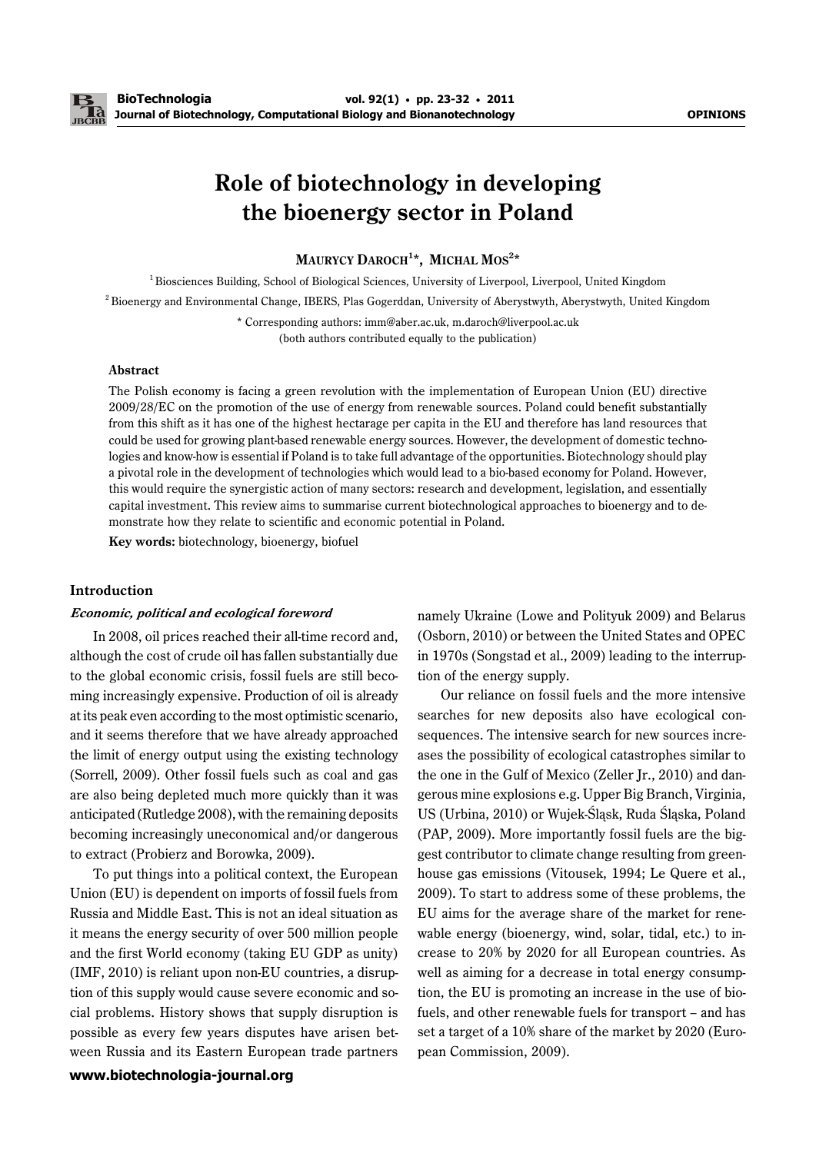# **Role of biotechnology in developing the bioenergy sector in Poland**

## MAURYCY DAROCH<sup>1\*</sup>, MICHAL MOS<sup>2\*</sup>

<sup>1</sup> Biosciences Building, School of Biological Sciences, University of Liverpool, Liverpool, United Kingdom

2 Bioenergy and Environmental Change, IBERS, Plas Gogerddan, University of Aberystwyth, Aberystwyth, United Kingdom

\* Corresponding authors: imm@aber.ac.uk, m.daroch@liverpool.ac.uk

## (both authors contributed equally to the publication)

## **Abstract**

The Polish economy is facing a green revolution with the implementation of European Union (EU) directive 2009/28/EC on the promotion of the use of energy from renewable sources. Poland could benefit substantially from this shift as it has one of the highest hectarage per capita in the EU and therefore has land resources that could be used for growing plant-based renewable energy sources. However, the development of domestic technologies and know-how is essential if Poland is to take full advantage of the opportunities. Biotechnology should play a pivotal role in the development of technologies which would lead to a bio-based economy for Poland. However, this would require the synergistic action of many sectors: research and development, legislation, and essentially capital investment. This review aims to summarise current biotechnological approaches to bioenergy and to demonstrate how they relate to scientific and economic potential in Poland.

**Key words:** biotechnology, bioenergy, biofuel

## **Introduction**

#### **Economic, political and ecological foreword**

In 2008, oil prices reached their all-time record and, although the cost of crude oil has fallen substantially due to the global economic crisis, fossil fuels are still becoming increasingly expensive. Production of oil is already at its peak even according to the most optimistic scenario, and it seems therefore that we have already approached the limit of energy output using the existing technology (Sorrell, 2009). Other fossil fuels such as coal and gas are also being depleted much more quickly than it was anticipated (Rutledge 2008), with the remaining deposits becoming increasingly uneconomical and/or dangerous to extract (Probierz and Borowka, 2009).

**www.biotechnologia-journal.org** To put things into a political context, the European Union (EU) is dependent on imports of fossil fuels from Russia and Middle East. This is not an ideal situation as it means the energy security of over 500 million people and the first World economy (taking EU GDP as unity) (IMF, 2010) is reliant upon non-EU countries, a disruption of this supply would cause severe economic and social problems. History shows that supply disruption is possible as every few years disputes have arisen between Russia and its Eastern European trade partners namely Ukraine (Lowe and Polityuk 2009) and Belarus (Osborn, 2010) or between the United States and OPEC in 1970s (Songstad et al., 2009) leading to the interruption of the energy supply.

Our reliance on fossil fuels and the more intensive searches for new deposits also have ecological consequences. The intensive search for new sources increases the possibility of ecological catastrophes similar to the one in the Gulf of Mexico (Zeller Jr., 2010) and dangerous mine explosions e.g. Upper Big Branch, Virginia, US (Urbina, 2010) or Wujek-Śląsk, Ruda Śląska, Poland (PAP, 2009). More importantly fossil fuels are the biggest contributor to climate change resulting from greenhouse gas emissions (Vitousek, 1994; Le Quere et al., 2009). To start to address some of these problems, the EU aims for the average share of the market for renewable energy (bioenergy, wind, solar, tidal, etc.) to increase to 20% by 2020 for all European countries. As well as aiming for a decrease in total energy consumption, the EU is promoting an increase in the use of biofuels, and other renewable fuels for transport – and has set a target of a 10% share of the market by 2020 (European Commission, 2009).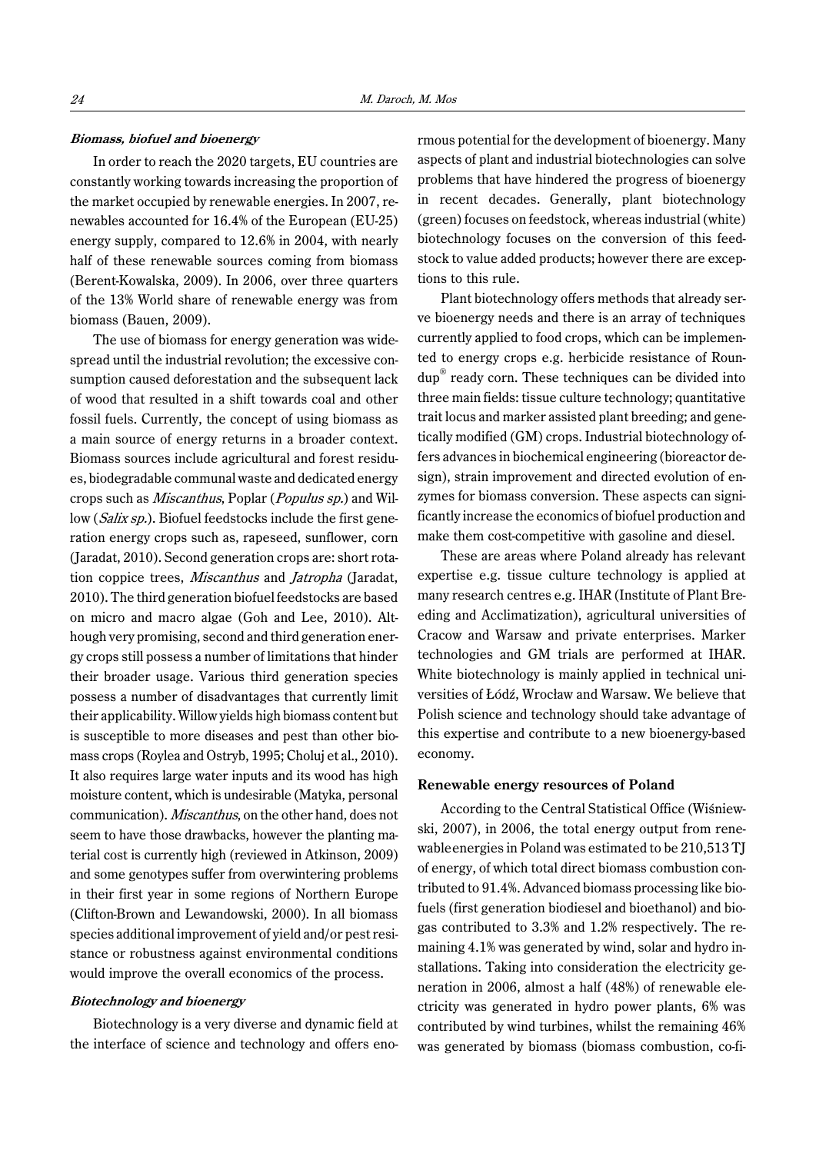### **Biomass, biofuel and bioenergy**

In order to reach the 2020 targets, EU countries are constantly working towards increasing the proportion of the market occupied by renewable energies. In 2007, renewables accounted for 16.4% of the European (EU-25) energy supply, compared to 12.6% in 2004, with nearly half of these renewable sources coming from biomass (Berent-Kowalska, 2009). In 2006, over three quarters of the 13% World share of renewable energy was from biomass (Bauen, 2009).

The use of biomass for energy generation was widespread until the industrial revolution; the excessive consumption caused deforestation and the subsequent lack of wood that resulted in a shift towards coal and other fossil fuels. Currently, the concept of using biomass as a main source of energy returns in a broader context. Biomass sources include agricultural and forest residues, biodegradable communal waste and dedicated energy crops such as Miscanthus, Poplar (Populus sp.) and Willow (*Salix sp.*). Biofuel feedstocks include the first generation energy crops such as, rapeseed, sunflower, corn (Jaradat, 2010). Second generation crops are: short rotation coppice trees, Miscanthus and Jatropha (Jaradat, 2010). The third generation biofuel feedstocks are based on micro and macro algae (Goh and Lee, 2010). Although very promising, second and third generation energy crops still possess a number of limitations that hinder their broader usage. Various third generation species possess a number of disadvantages that currently limit their applicability. Willow yields high biomass content but is susceptible to more diseases and pest than other biomass crops (Roylea and Ostryb, 1995; Choluj et al., 2010). It also requires large water inputs and its wood has high moisture content, which is undesirable (Matyka, personal communication). Miscanthus, on the other hand, does not seem to have those drawbacks, however the planting material cost is currently high (reviewed in Atkinson, 2009) and some genotypes suffer from overwintering problems in their first year in some regions of Northern Europe (Clifton-Brown and Lewandowski, 2000). In all biomass species additional improvement of yield and/or pest resistance or robustness against environmental conditions would improve the overall economics of the process.

#### **Biotechnology and bioenergy**

Biotechnology is a very diverse and dynamic field at the interface of science and technology and offers enormous potential for the development of bioenergy. Many aspects of plant and industrial biotechnologies can solve problems that have hindered the progress of bioenergy in recent decades. Generally, plant biotechnology (green) focuses on feedstock, whereas industrial (white) biotechnology focuses on the conversion of this feedstock to value added products; however there are exceptions to this rule.

Plant biotechnology offers methods that already serve bioenergy needs and there is an array of techniques currently applied to food crops, which can be implemented to energy crops e.g. herbicide resistance of Roundup® ready corn. These techniques can be divided into three main fields: tissue culture technology; quantitative trait locus and marker assisted plant breeding; and genetically modified (GM) crops. Industrial biotechnology offers advances in biochemical engineering (bioreactor design), strain improvement and directed evolution of enzymes for biomass conversion. These aspects can significantly increase the economics of biofuel production and make them cost-competitive with gasoline and diesel.

These are areas where Poland already has relevant expertise e.g. tissue culture technology is applied at many research centres e.g. IHAR (Institute of Plant Breeding and Acclimatization), agricultural universities of Cracow and Warsaw and private enterprises. Marker technologies and GM trials are performed at IHAR. White biotechnology is mainly applied in technical universities of Łódź, Wrocław and Warsaw. We believe that Polish science and technology should take advantage of this expertise and contribute to a new bioenergy-based economy.

## **Renewable energy resources of Poland**

According to the Central Statistical Office (Wiśniewski, 2007), in 2006, the total energy output from renewableenergies in Poland was estimated to be 210,513 TJ of energy, of which total direct biomass combustion contributed to 91.4%. Advanced biomass processing like biofuels (first generation biodiesel and bioethanol) and biogas contributed to 3.3% and 1.2% respectively. The remaining 4.1% was generated by wind, solar and hydro installations. Taking into consideration the electricity generation in 2006, almost a half (48%) of renewable electricity was generated in hydro power plants, 6% was contributed by wind turbines, whilst the remaining 46% was generated by biomass (biomass combustion, co-fi-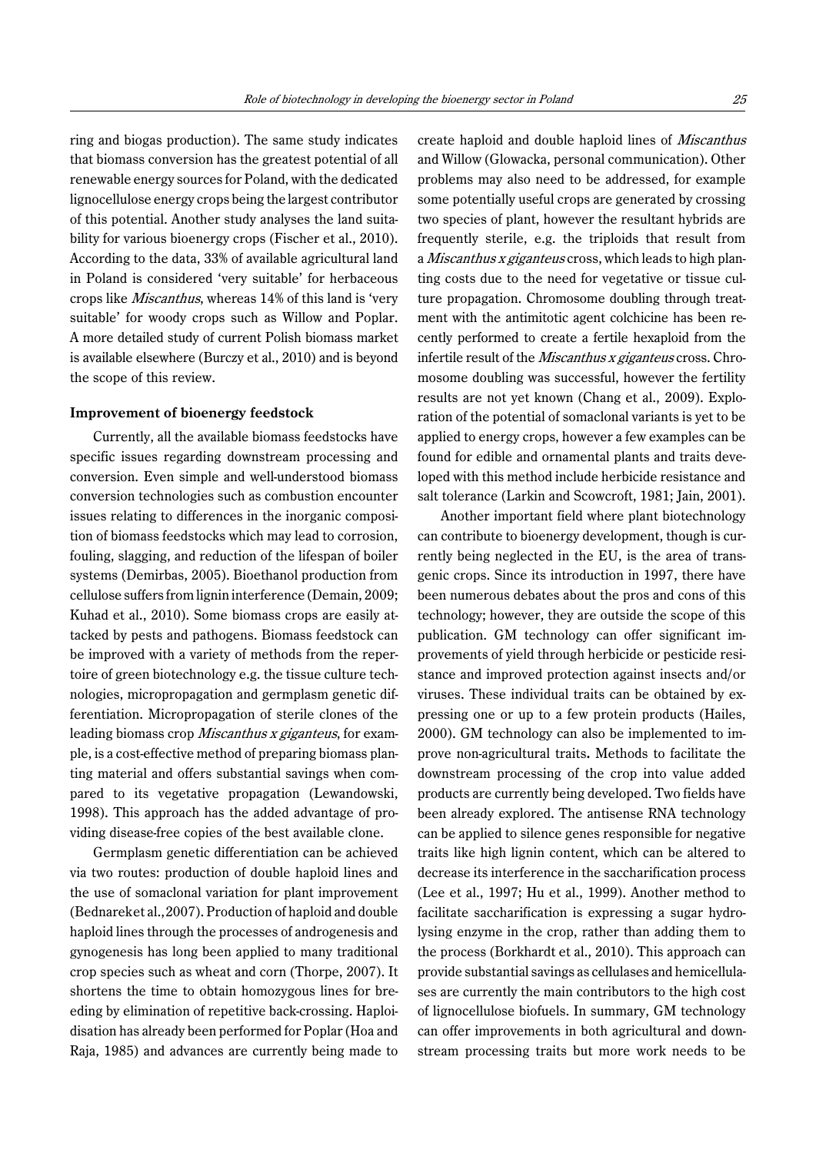ring and biogas production). The same study indicates that biomass conversion has the greatest potential of all renewable energy sources for Poland, with the dedicated lignocellulose energy crops being the largest contributor of this potential. Another study analyses the land suitability for various bioenergy crops (Fischer et al., 2010). According to the data, 33% of available agricultural land in Poland is considered 'very suitable' for herbaceous crops like Miscanthus, whereas 14% of this land is 'very suitable' for woody crops such as Willow and Poplar. A more detailed study of current Polish biomass market is available elsewhere (Burczy et al., 2010) and is beyond the scope of this review.

#### **Improvement of bioenergy feedstock**

Currently, all the available biomass feedstocks have specific issues regarding downstream processing and conversion. Even simple and well-understood biomass conversion technologies such as combustion encounter issues relating to differences in the inorganic composition of biomass feedstocks which may lead to corrosion, fouling, slagging, and reduction of the lifespan of boiler systems (Demirbas, 2005). Bioethanol production from cellulose suffers from lignin interference (Demain, 2009; Kuhad et al., 2010). Some biomass crops are easily attacked by pests and pathogens. Biomass feedstock can be improved with a variety of methods from the repertoire of green biotechnology e.g. the tissue culture technologies, micropropagation and germplasm genetic differentiation. Micropropagation of sterile clones of the leading biomass crop Miscanthus x giganteus, for example, is a cost-effective method of preparing biomass planting material and offers substantial savings when compared to its vegetative propagation (Lewandowski, 1998). This approach has the added advantage of providing disease-free copies of the best available clone.

Germplasm genetic differentiation can be achieved via two routes: production of double haploid lines and the use of somaclonal variation for plant improvement (Bednareket al.,2007). Production of haploid and double haploid lines through the processes of androgenesis and gynogenesis has long been applied to many traditional crop species such as wheat and corn (Thorpe, 2007). It shortens the time to obtain homozygous lines for breeding by elimination of repetitive back-crossing. Haploidisation has already been performed for Poplar (Hoa and Raja, 1985) and advances are currently being made to create haploid and double haploid lines of Miscanthus and Willow (Glowacka, personal communication). Other problems may also need to be addressed, for example some potentially useful crops are generated by crossing two species of plant, however the resultant hybrids are frequently sterile, e.g. the triploids that result from a Miscanthus x giganteus cross, which leads to high planting costs due to the need for vegetative or tissue culture propagation. Chromosome doubling through treatment with the antimitotic agent colchicine has been recently performed to create a fertile hexaploid from the infertile result of the Miscanthus x giganteus cross. Chromosome doubling was successful, however the fertility results are not yet known (Chang et al., 2009). Exploration of the potential of somaclonal variants is yet to be applied to energy crops, however a few examples can be found for edible and ornamental plants and traits developed with this method include herbicide resistance and salt tolerance (Larkin and Scowcroft, 1981; Jain, 2001).

Another important field where plant biotechnology can contribute to bioenergy development, though is currently being neglected in the EU, is the area of transgenic crops. Since its introduction in 1997, there have been numerous debates about the pros and cons of this technology; however, they are outside the scope of this publication. GM technology can offer significant improvements of yield through herbicide or pesticide resistance and improved protection against insects and/or viruses. These individual traits can be obtained by expressing one or up to a few protein products (Hailes, 2000). GM technology can also be implemented to improve non-agricultural traits**.** Methods to facilitate the downstream processing of the crop into value added products are currently being developed. Two fields have been already explored. The antisense RNA technology can be applied to silence genes responsible for negative traits like high lignin content, which can be altered to decrease its interference in the saccharification process (Lee et al., 1997; Hu et al., 1999). Another method to facilitate saccharification is expressing a sugar hydrolysing enzyme in the crop, rather than adding them to the process (Borkhardt et al., 2010). This approach can provide substantial savings as cellulases and hemicellulases are currently the main contributors to the high cost of lignocellulose biofuels. In summary, GM technology can offer improvements in both agricultural and downstream processing traits but more work needs to be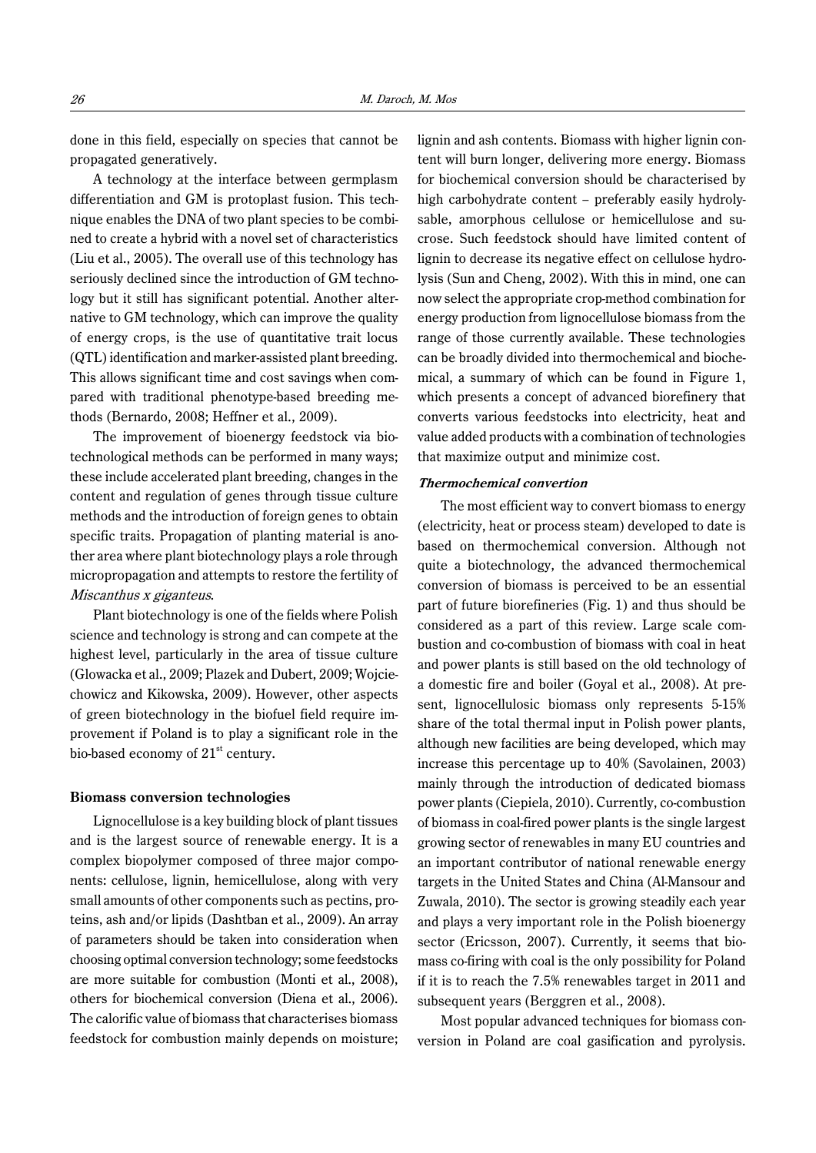done in this field, especially on species that cannot be propagated generatively.

A technology at the interface between germplasm differentiation and GM is protoplast fusion. This technique enables the DNA of two plant species to be combined to create a hybrid with a novel set of characteristics (Liu et al., 2005). The overall use of this technology has seriously declined since the introduction of GM technology but it still has significant potential. Another alternative to GM technology, which can improve the quality of energy crops, is the use of quantitative trait locus (QTL) identification and marker-assisted plant breeding. This allows significant time and cost savings when compared with traditional phenotype-based breeding methods (Bernardo, 2008; Heffner et al., 2009).

The improvement of bioenergy feedstock via biotechnological methods can be performed in many ways; these include accelerated plant breeding, changes in the content and regulation of genes through tissue culture methods and the introduction of foreign genes to obtain specific traits. Propagation of planting material is another area where plant biotechnology plays a role through micropropagation and attempts to restore the fertility of Miscanthus x giganteus.

Plant biotechnology is one of the fields where Polish science and technology is strong and can compete at the highest level, particularly in the area of tissue culture (Glowacka et al., 2009; Plazek and Dubert, 2009; Wojciechowicz and Kikowska, 2009). However, other aspects of green biotechnology in the biofuel field require improvement if Poland is to play a significant role in the bio-based economy of  $21<sup>st</sup>$  century.

#### **Biomass conversion technologies**

Lignocellulose is a key building block of plant tissues and is the largest source of renewable energy. It is a complex biopolymer composed of three major components: cellulose, lignin, hemicellulose, along with very small amounts of other components such as pectins, proteins, ash and/or lipids (Dashtban et al., 2009). An array of parameters should be taken into consideration when choosing optimal conversion technology; some feedstocks are more suitable for combustion (Monti et al., 2008), others for biochemical conversion (Diena et al., 2006). The calorific value of biomass that characterises biomass feedstock for combustion mainly depends on moisture; lignin and ash contents. Biomass with higher lignin content will burn longer, delivering more energy. Biomass for biochemical conversion should be characterised by high carbohydrate content – preferably easily hydrolysable, amorphous cellulose or hemicellulose and sucrose. Such feedstock should have limited content of lignin to decrease its negative effect on cellulose hydrolysis (Sun and Cheng, 2002). With this in mind, one can now select the appropriate crop-method combination for energy production from lignocellulose biomass from the range of those currently available. These technologies can be broadly divided into thermochemical and biochemical, a summary of which can be found in Figure 1, which presents a concept of advanced biorefinery that converts various feedstocks into electricity, heat and value added products with a combination of technologies that maximize output and minimize cost.

#### **Thermochemical convertion**

The most efficient way to convert biomass to energy (electricity, heat or process steam) developed to date is based on thermochemical conversion. Although not quite a biotechnology, the advanced thermochemical conversion of biomass is perceived to be an essential part of future biorefineries (Fig. 1) and thus should be considered as a part of this review. Large scale combustion and co-combustion of biomass with coal in heat and power plants is still based on the old technology of a domestic fire and boiler (Goyal et al., 2008). At present, lignocellulosic biomass only represents 5-15% share of the total thermal input in Polish power plants, although new facilities are being developed, which may increase this percentage up to 40% (Savolainen, 2003) mainly through the introduction of dedicated biomass power plants (Ciepiela, 2010). Currently, co-combustion of biomass in coal-fired power plants is the single largest growing sector of renewables in many EU countries and an important contributor of national renewable energy targets in the United States and China (Al-Mansour and Zuwala, 2010). The sector is growing steadily each year and plays a very important role in the Polish bioenergy sector (Ericsson, 2007). Currently, it seems that biomass co-firing with coal is the only possibility for Poland if it is to reach the 7.5% renewables target in 2011 and subsequent years (Berggren et al., 2008).

Most popular advanced techniques for biomass conversion in Poland are coal gasification and pyrolysis.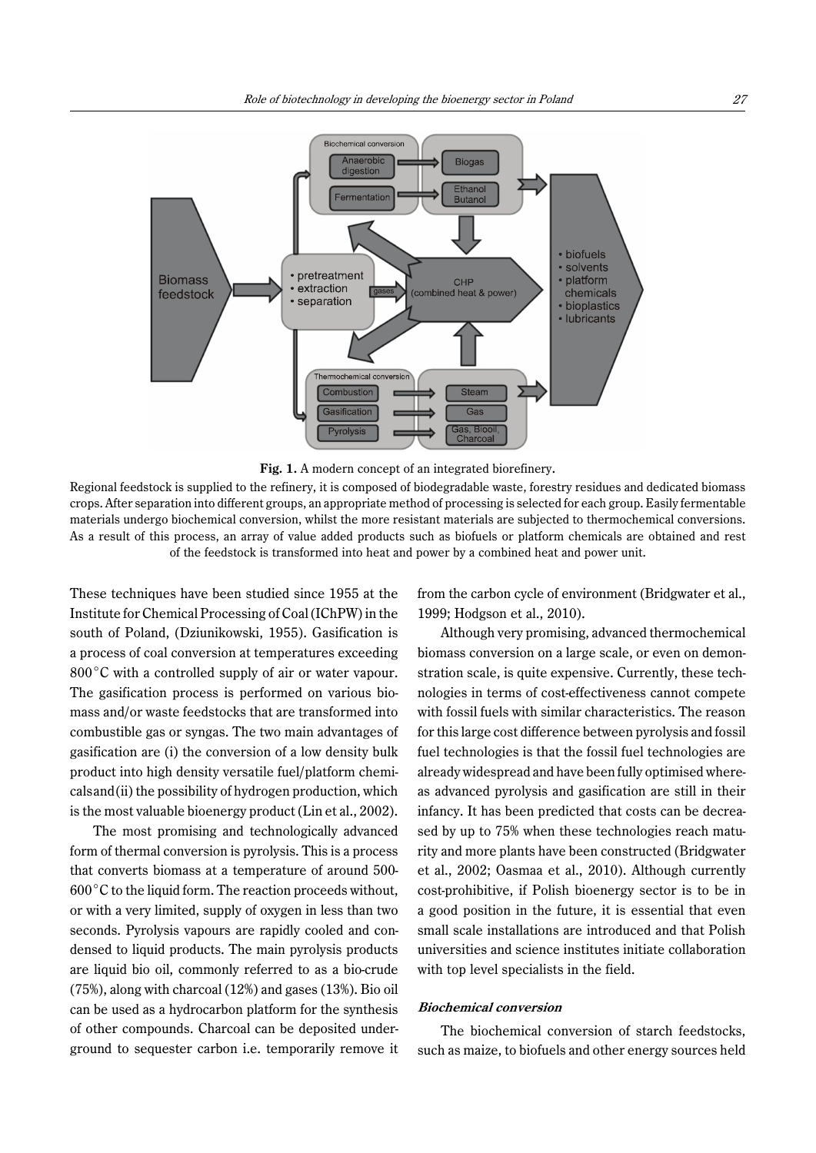



Regional feedstock is supplied to the refinery, it is composed of biodegradable waste, forestry residues and dedicated biomass crops. After separation into different groups, an appropriate method of processing is selected for each group. Easily fermentable materials undergo biochemical conversion, whilst the more resistant materials are subjected to thermochemical conversions. As a result of this process, an array of value added products such as biofuels or platform chemicals are obtained and rest of the feedstock is transformed into heat and power by a combined heat and power unit.

These techniques have been studied since 1955 at the Institute for Chemical Processing of Coal (IChPW) in the south of Poland, (Dziunikowski, 1955). Gasification is a process of coal conversion at temperatures exceeding  $800^{\circ}$ C with a controlled supply of air or water vapour. The gasification process is performed on various biomass and/or waste feedstocks that are transformed into combustible gas or syngas. The two main advantages of gasification are (i) the conversion of a low density bulk product into high density versatile fuel/platform chemicalsand(ii) the possibility of hydrogen production, which is the most valuable bioenergy product (Lin et al., 2002).

The most promising and technologically advanced form of thermal conversion is pyrolysis. This is a process that converts biomass at a temperature of around 500-  $600^{\circ}$ C to the liquid form. The reaction proceeds without, or with a very limited, supply of oxygen in less than two seconds. Pyrolysis vapours are rapidly cooled and condensed to liquid products. The main pyrolysis products are liquid bio oil, commonly referred to as a bio-crude (75%), along with charcoal (12%) and gases (13%). Bio oil can be used as a hydrocarbon platform for the synthesis of other compounds. Charcoal can be deposited underground to sequester carbon i.e. temporarily remove it from the carbon cycle of environment (Bridgwater et al., 1999; Hodgson et al., 2010).

Although very promising, advanced thermochemical biomass conversion on a large scale, or even on demonstration scale, is quite expensive. Currently, these technologies in terms of cost-effectiveness cannot compete with fossil fuels with similar characteristics. The reason for this large cost difference between pyrolysis and fossil fuel technologies is that the fossil fuel technologies are already widespread and have been fully optimised whereas advanced pyrolysis and gasification are still in their infancy. It has been predicted that costs can be decreased by up to 75% when these technologies reach maturity and more plants have been constructed (Bridgwater et al., 2002; Oasmaa et al., 2010). Although currently cost-prohibitive, if Polish bioenergy sector is to be in a good position in the future, it is essential that even small scale installations are introduced and that Polish universities and science institutes initiate collaboration with top level specialists in the field.

#### **Biochemical conversion**

The biochemical conversion of starch feedstocks, such as maize, to biofuels and other energy sources held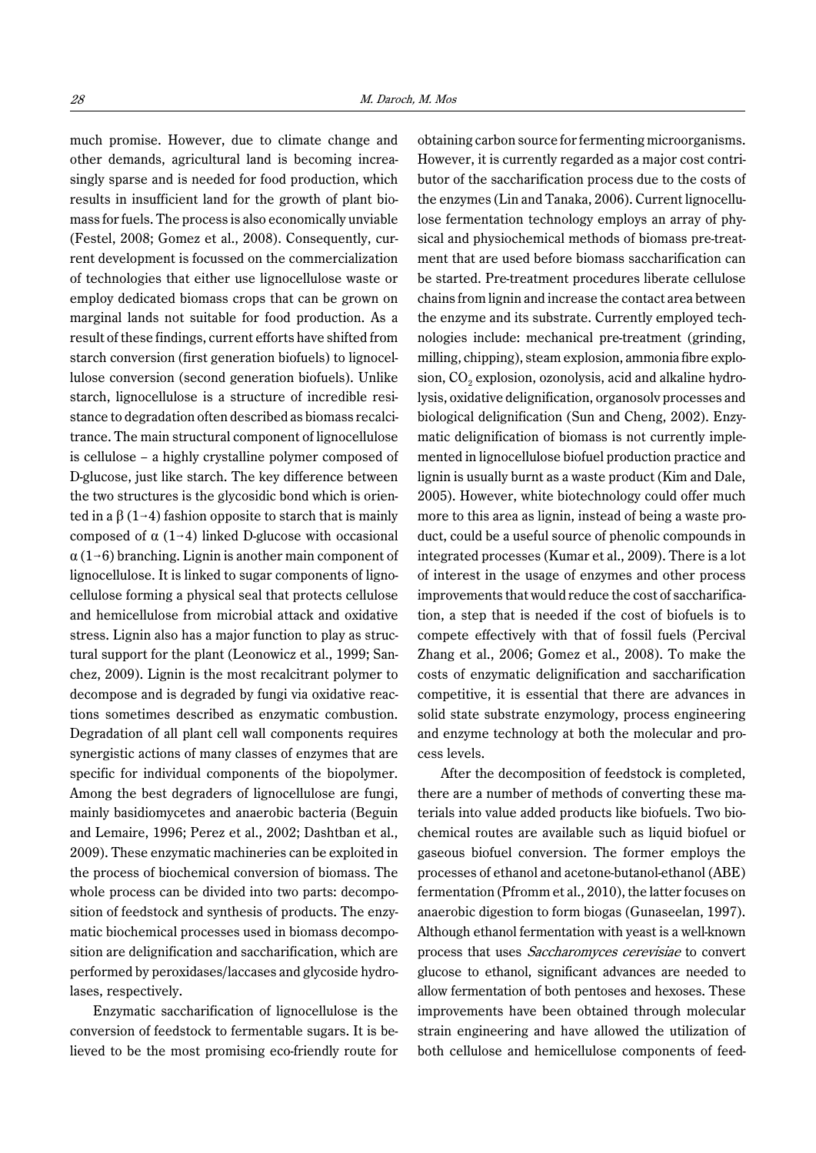much promise. However, due to climate change and other demands, agricultural land is becoming increasingly sparse and is needed for food production, which results in insufficient land for the growth of plant biomass for fuels. The process is also economically unviable (Festel, 2008; Gomez et al., 2008). Consequently, current development is focussed on the commercialization of technologies that either use lignocellulose waste or employ dedicated biomass crops that can be grown on marginal lands not suitable for food production. As a result of these findings, current efforts have shifted from starch conversion (first generation biofuels) to lignocellulose conversion (second generation biofuels). Unlike starch, lignocellulose is a structure of incredible resistance to degradation often described as biomass recalcitrance. The main structural component of lignocellulose is cellulose – a highly crystalline polymer composed of D-glucose, just like starch. The key difference between the two structures is the glycosidic bond which is oriented in a  $\beta$  (1–4) fashion opposite to starch that is mainly composed of  $\alpha$  (1–4) linked D-glucose with occasional  $\alpha$  (1–6) branching. Lignin is another main component of lignocellulose. It is linked to sugar components of lignocellulose forming a physical seal that protects cellulose and hemicellulose from microbial attack and oxidative stress. Lignin also has a major function to play as structural support for the plant (Leonowicz et al., 1999; Sanchez, 2009). Lignin is the most recalcitrant polymer to decompose and is degraded by fungi via oxidative reactions sometimes described as enzymatic combustion. Degradation of all plant cell wall components requires synergistic actions of many classes of enzymes that are specific for individual components of the biopolymer. Among the best degraders of lignocellulose are fungi, mainly basidiomycetes and anaerobic bacteria (Beguin and Lemaire, 1996; Perez et al., 2002; Dashtban et al., 2009). These enzymatic machineries can be exploited in the process of biochemical conversion of biomass. The whole process can be divided into two parts: decomposition of feedstock and synthesis of products. The enzymatic biochemical processes used in biomass decomposition are delignification and saccharification, which are performed by peroxidases/laccases and glycoside hydrolases, respectively.

Enzymatic saccharification of lignocellulose is the conversion of feedstock to fermentable sugars. It is believed to be the most promising eco-friendly route for

obtaining carbon source for fermenting microorganisms. However, it is currently regarded as a major cost contributor of the saccharification process due to the costs of the enzymes (Lin and Tanaka, 2006). Current lignocellulose fermentation technology employs an array of physical and physiochemical methods of biomass pre-treatment that are used before biomass saccharification can be started. Pre-treatment procedures liberate cellulose chains from lignin and increase the contact area between the enzyme and its substrate. Currently employed technologies include: mechanical pre-treatment (grinding, milling, chipping), steam explosion, ammonia fibre explosion,  $CO<sub>2</sub>$  explosion, ozonolysis, acid and alkaline hydrolysis, oxidative delignification, organosolv processes and biological delignification (Sun and Cheng, 2002). Enzymatic delignification of biomass is not currently implemented in lignocellulose biofuel production practice and lignin is usually burnt as a waste product (Kim and Dale, 2005). However, white biotechnology could offer much more to this area as lignin, instead of being a waste product, could be a useful source of phenolic compounds in integrated processes (Kumar et al., 2009). There is a lot of interest in the usage of enzymes and other process improvements that would reduce the cost of saccharification, a step that is needed if the cost of biofuels is to compete effectively with that of fossil fuels (Percival Zhang et al., 2006; Gomez et al., 2008). To make the costs of enzymatic delignification and saccharification competitive, it is essential that there are advances in solid state substrate enzymology, process engineering and enzyme technology at both the molecular and process levels.

After the decomposition of feedstock is completed, there are a number of methods of converting these materials into value added products like biofuels. Two biochemical routes are available such as liquid biofuel or gaseous biofuel conversion. The former employs the processes of ethanol and acetone-butanol-ethanol (ABE) fermentation (Pfromm et al., 2010), the latter focuses on anaerobic digestion to form biogas (Gunaseelan, 1997). Although ethanol fermentation with yeast is a well-known process that uses Saccharomyces cerevisiae to convert glucose to ethanol, significant advances are needed to allow fermentation of both pentoses and hexoses. These improvements have been obtained through molecular strain engineering and have allowed the utilization of both cellulose and hemicellulose components of feed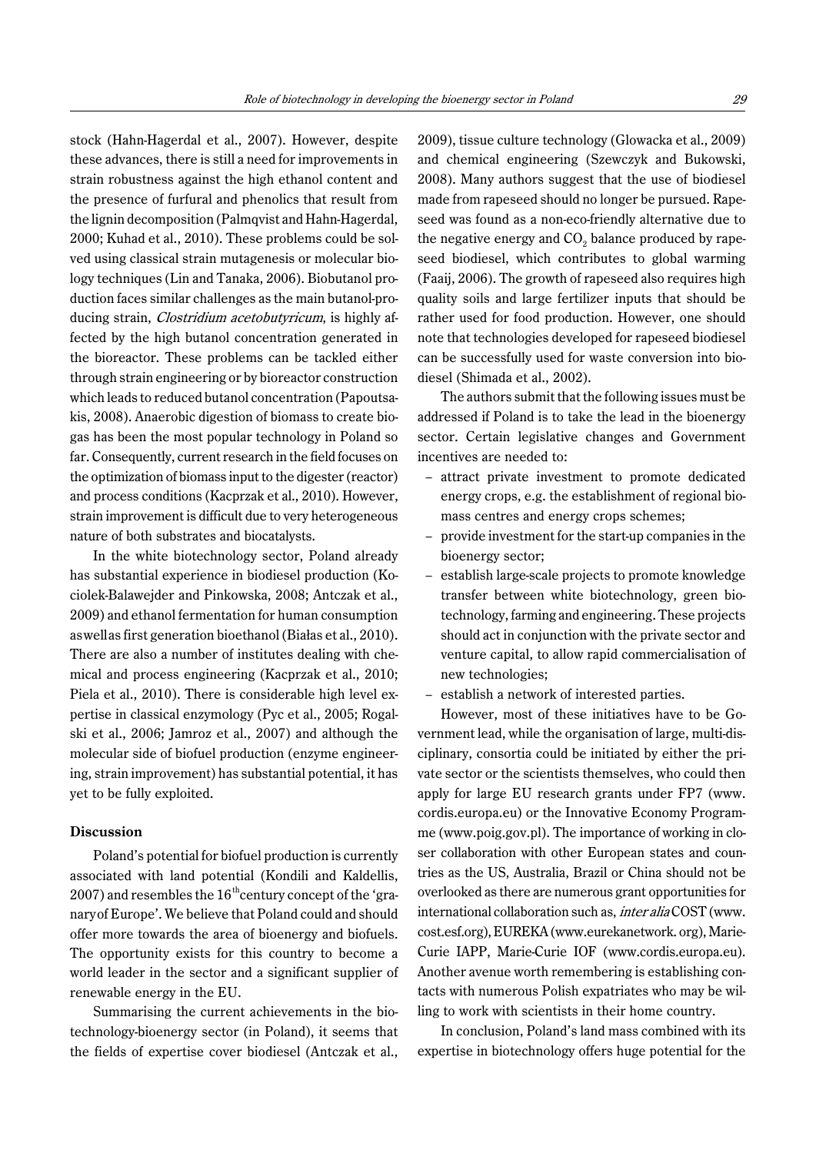stock (Hahn-Hagerdal et al., 2007). However, despite these advances, there is still a need for improvements in strain robustness against the high ethanol content and the presence of furfural and phenolics that result from the lignin decomposition (Palmqvist and Hahn-Hagerdal, 2000; Kuhad et al., 2010). These problems could be solved using classical strain mutagenesis or molecular biology techniques (Lin and Tanaka, 2006). Biobutanol production faces similar challenges as the main butanol-producing strain, *Clostridium acetobutyricum*, is highly affected by the high butanol concentration generated in the bioreactor. These problems can be tackled either through strain engineering or by bioreactor construction which leads to reduced butanol concentration (Papoutsakis, 2008). Anaerobic digestion of biomass to create biogas has been the most popular technology in Poland so far. Consequently, current research in the field focuses on the optimization of biomass input to the digester (reactor) and process conditions (Kacprzak et al., 2010). However, strain improvement is difficult due to very heterogeneous nature of both substrates and biocatalysts.

In the white biotechnology sector, Poland already has substantial experience in biodiesel production (Kociolek-Balawejder and Pinkowska, 2008; Antczak et al., 2009) and ethanol fermentation for human consumption aswellas first generation bioethanol (Białas et al., 2010). There are also a number of institutes dealing with chemical and process engineering (Kacprzak et al., 2010; Piela et al., 2010). There is considerable high level expertise in classical enzymology (Pyc et al., 2005; Rogalski et al., 2006; Jamroz et al., 2007) and although the molecular side of biofuel production (enzyme engineering, strain improvement) has substantial potential, it has yet to be fully exploited.

#### **Discussion**

Poland's potential for biofuel production is currently associated with land potential (Kondili and Kaldellis, 2007) and resembles the  $16<sup>th</sup>$ century concept of the 'granaryof Europe'. We believe that Poland could and should offer more towards the area of bioenergy and biofuels. The opportunity exists for this country to become a world leader in the sector and a significant supplier of renewable energy in the EU.

Summarising the current achievements in the biotechnology-bioenergy sector (in Poland), it seems that the fields of expertise cover biodiesel (Antczak et al.,

2009), tissue culture technology (Glowacka et al., 2009) and chemical engineering (Szewczyk and Bukowski, 2008). Many authors suggest that the use of biodiesel made from rapeseed should no longer be pursued. Rapeseed was found as a non-eco-friendly alternative due to the negative energy and  $CO<sub>2</sub>$  balance produced by rapeseed biodiesel, which contributes to global warming (Faaij, 2006). The growth of rapeseed also requires high quality soils and large fertilizer inputs that should be rather used for food production. However, one should note that technologies developed for rapeseed biodiesel can be successfully used for waste conversion into biodiesel (Shimada et al., 2002).

The authors submit that the following issues must be addressed if Poland is to take the lead in the bioenergy sector. Certain legislative changes and Government incentives are needed to:

- attract private investment to promote dedicated energy crops, e.g. the establishment of regional biomass centres and energy crops schemes;
- provide investment for the start-up companies in the bioenergy sector;
- establish large-scale projects to promote knowledge transfer between white biotechnology, green biotechnology, farming and engineering. These projects should act in conjunction with the private sector and venture capital, to allow rapid commercialisation of new technologies;
- establish a network of interested parties.

However, most of these initiatives have to be Government lead, while the organisation of large, multi-disciplinary, consortia could be initiated by either the private sector or the scientists themselves, who could then apply for large EU research grants under FP7 (www. cordis.europa.eu) or the Innovative Economy Programme (www.poig.gov.pl). The importance of working in closer collaboration with other European states and countries as the US, Australia, Brazil or China should not be overlooked as there are numerous grant opportunities for international collaboration such as, inter alia COST (www. cost.esf.org), EUREKA (www.eurekanetwork. org), Marie-Curie IAPP, Marie-Curie IOF (www.cordis.europa.eu). Another avenue worth remembering is establishing contacts with numerous Polish expatriates who may be willing to work with scientists in their home country.

In conclusion, Poland's land mass combined with its expertise in biotechnology offers huge potential for the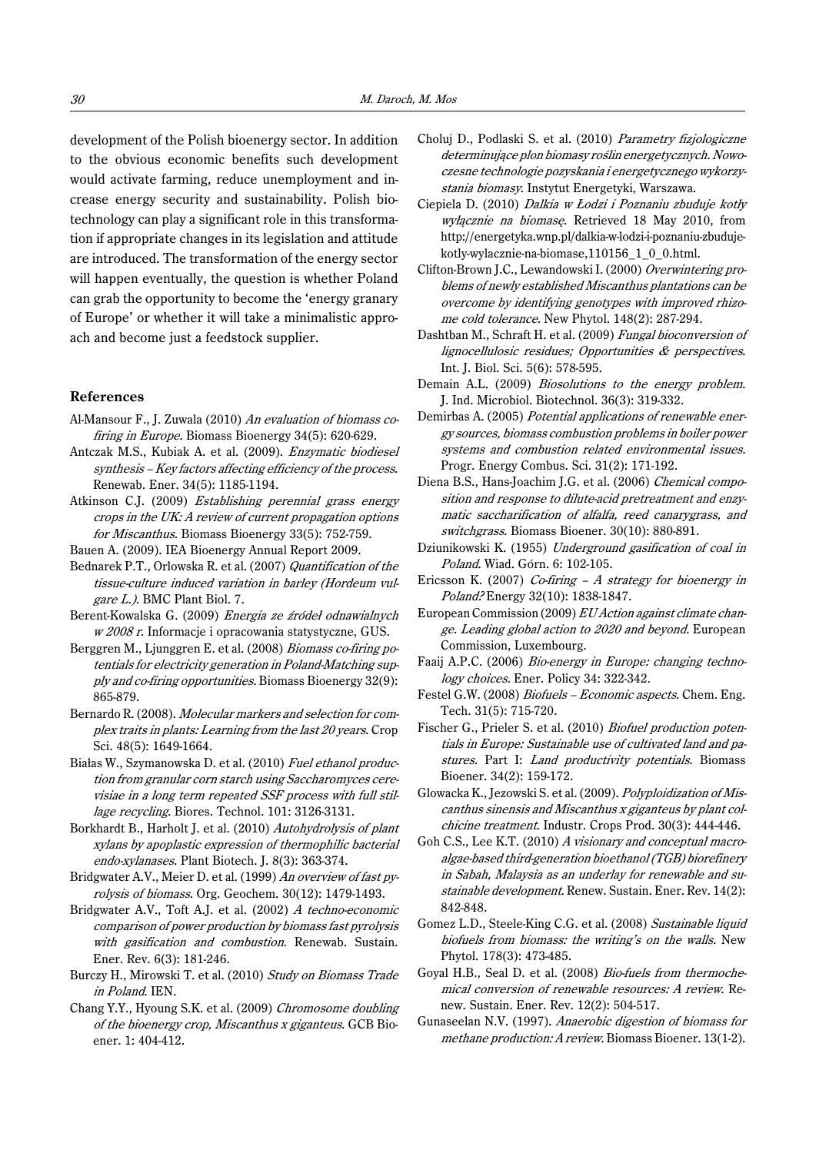development of the Polish bioenergy sector. In addition to the obvious economic benefits such development would activate farming, reduce unemployment and increase energy security and sustainability. Polish biotechnology can play a significant role in this transformation if appropriate changes in its legislation and attitude are introduced. The transformation of the energy sector will happen eventually, the question is whether Poland can grab the opportunity to become the 'energy granary of Europe' or whether it will take a minimalistic approach and become just a feedstock supplier.

## **References**

- Al-Mansour F., J. Zuwala (2010) An evaluation of biomass cofiring in Europe. Biomass Bioenergy 34(5): 620-629.
- Antczak M.S., Kubiak A. et al. (2009). Enzymatic biodiesel synthesis – Key factors affecting efficiency of the process. Renewab. Ener. 34(5): 1185-1194.
- Atkinson C.J. (2009) Establishing perennial grass energy crops in the UK: A review of current propagation options for Miscanthus. Biomass Bioenergy 33(5): 752-759.
- Bauen A. (2009). IEA Bioenergy Annual Report 2009.
- Bednarek P.T., Orlowska R. et al. (2007) Quantification of the tissue-culture induced variation in barley (Hordeum vulgare L.). BMC Plant Biol. 7.
- Berent-Kowalska G. (2009) Energia ze źródeł odnawialnych w 2008 r. Informacje i opracowania statystyczne, GUS.
- Berggren M., Ljunggren E. et al. (2008) Biomass co-firing potentials for electricity generation in Poland-Matching supply and co-firing opportunities. Biomass Bioenergy 32(9): 865-879.
- Bernardo R. (2008). Molecular markers and selection for complex traits in plants: Learning from the last 20 years. Crop Sci. 48(5): 1649-1664.
- Białas W., Szymanowska D. et al. (2010) Fuel ethanol production from granular corn starch using Saccharomyces cerevisiae in a long term repeated SSF process with full stillage recycling. Biores. Technol. 101: 3126-3131.
- Borkhardt B., Harholt J. et al. (2010) Autohydrolysis of plant xylans by apoplastic expression of thermophilic bacterial endo-xylanases. Plant Biotech. J. 8(3): 363-374.
- Bridgwater A.V., Meier D. et al. (1999) An overview of fast pyrolysis of biomass. Org. Geochem. 30(12): 1479-1493.
- Bridgwater A.V., Toft A.J. et al. (2002) A techno-economic comparison of power production by biomass fast pyrolysis with gasification and combustion. Renewab. Sustain. Ener. Rev. 6(3): 181-246.
- Burczy H., Mirowski T. et al. (2010) Study on Biomass Trade in Poland. IEN.
- Chang Y.Y., Hyoung S.K. et al. (2009) Chromosome doubling of the bioenergy crop, Miscanthus x giganteus. GCB Bioener. 1: 404-412.
- Choluj D., Podlaski S. et al. (2010) Parametry fizjologiczne determinujące plon biomasy roślin energetycznych. Nowoczesne technologie pozyskania i energetycznego wykorzystania biomasy. Instytut Energetyki, Warszawa.
- Ciepiela D. (2010) Dalkia w Łodzi i Poznaniu zbuduje kotł<sup>y</sup> wyłącznie na biomasę. Retrieved 18 May 2010, from http://energetyka.wnp.pl/dalkia-w-lodzi-i-poznaniu-zbudujekotly-wylacznie-na-biomase,110156\_1\_0\_0.html.
- Clifton-Brown J.C., Lewandowski I. (2000) Overwintering problems of newly established Miscanthus plantations can be overcome by identifying genotypes with improved rhizome cold tolerance. New Phytol. 148(2): 287-294.
- Dashtban M., Schraft H. et al. (2009) Fungal bioconversion of lignocellulosic residues; Opportunities & perspectives. Int. J. Biol. Sci. 5(6): 578-595.
- Demain A.L. (2009) Biosolutions to the energy problem. J. Ind. Microbiol. Biotechnol. 36(3): 319-332.
- Demirbas A. (2005) Potential applications of renewable energy sources, biomass combustion problems in boiler power systems and combustion related environmental issues. Progr. Energy Combus. Sci. 31(2): 171-192.
- Diena B.S., Hans-Joachim J.G. et al. (2006) Chemical composition and response to dilute-acid pretreatment and enzymatic saccharification of alfalfa, reed canarygrass, and switchgrass. Biomass Bioener. 30(10): 880-891.
- Dziunikowski K. (1955) Underground gasification of coal in Poland. Wiad. Górn. 6: 102-105.
- Ericsson K. (2007) Co-firing  $-A$  strategy for bioenergy in Poland? Energy 32(10): 1838-1847.
- European Commission (2009) EU Action against climate change. Leading global action to 2020 and beyond. European Commission, Luxembourg.
- Faaij A.P.C. (2006) Bio-energy in Europe: changing technology choices. Ener. Policy 34: 322-342.
- Festel G.W. (2008) Biofuels Economic aspects. Chem. Eng. Tech. 31(5): 715-720.
- Fischer G., Prieler S. et al. (2010) Biofuel production potentials in Europe: Sustainable use of cultivated land and pastures. Part I: Land productivity potentials. Biomass Bioener. 34(2): 159-172.
- Glowacka K., Jezowski S. et al. (2009). Polyploidization of Miscanthus sinensis and Miscanthus x giganteus by plant colchicine treatment. Industr. Crops Prod. 30(3): 444-446.
- Goh C.S., Lee K.T. (2010) A visionary and conceptual macroalgae-based third-generation bioethanol (TGB) biorefinery in Sabah, Malaysia as an underlay for renewable and sustainable development. Renew. Sustain. Ener. Rev. 14(2): 842-848.
- Gomez L.D., Steele-King C.G. et al. (2008) Sustainable liquid biofuels from biomass: the writing's on the walls. New Phytol. 178(3): 473-485.
- Goyal H.B., Seal D. et al. (2008) Bio-fuels from thermochemical conversion of renewable resources: A review. Renew. Sustain. Ener. Rev. 12(2): 504-517.
- Gunaseelan N.V. (1997). Anaerobic digestion of biomass for methane production: A review. Biomass Bioener. 13(1-2).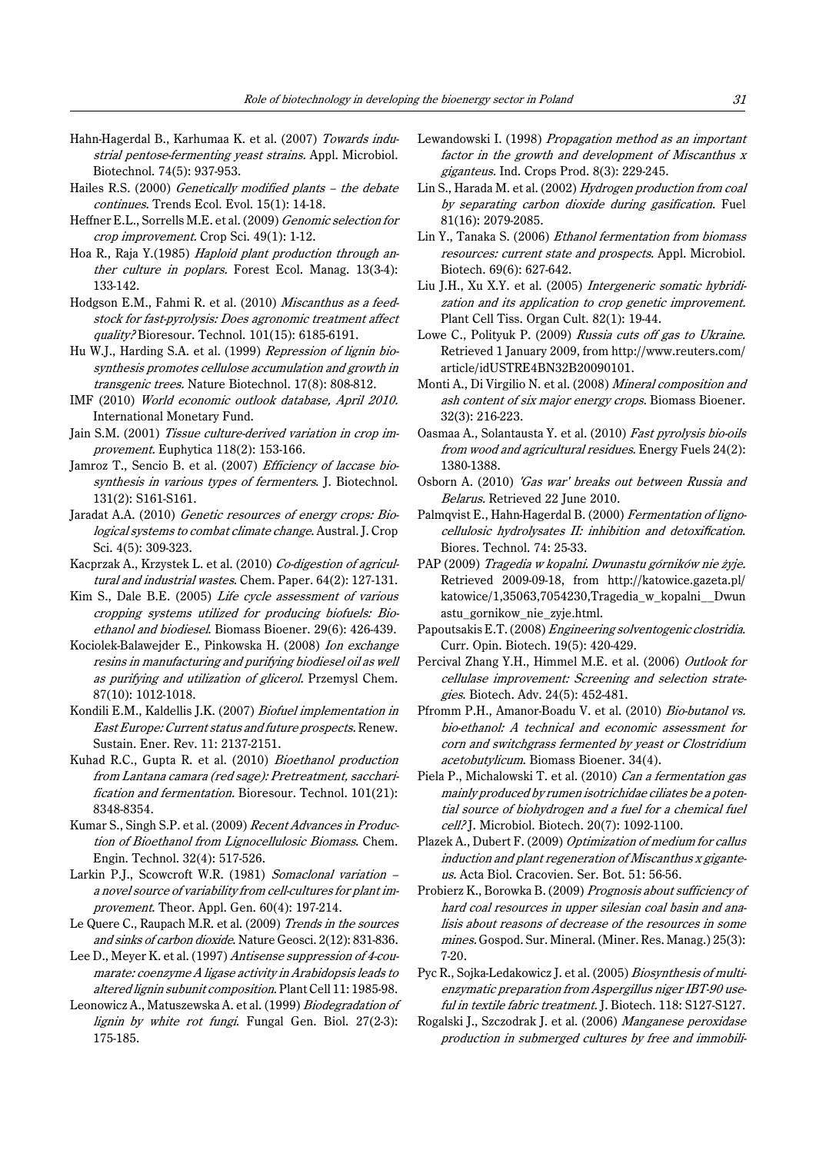- Hahn-Hagerdal B., Karhumaa K. et al. (2007) Towards industrial pentose-fermenting yeast strains. Appl. Microbiol. Biotechnol. 74(5): 937-953.
- Hailes R.S. (2000) Genetically modified plants the debate continues. Trends Ecol. Evol. 15(1): 14-18.
- Heffner E.L., Sorrells M.E. et al. (2009) Genomic selection for crop improvement. Crop Sci. 49(1): 1-12.
- Hoa R., Raja Y.(1985) Haploid plant production through anther culture in poplars. Forest Ecol. Manag. 13(3-4): 133-142.
- Hodgson E.M., Fahmi R. et al. (2010) *Miscanthus as a feed*stock for fast-pyrolysis: Does agronomic treatment affect quality? Bioresour. Technol. 101(15): 6185-6191.
- Hu W.J., Harding S.A. et al. (1999) *Repression of lignin bio*synthesis promotes cellulose accumulation and growth in transgenic trees. Nature Biotechnol. 17(8): 808-812.
- IMF (2010) World economic outlook database, April 2010. International Monetary Fund.
- Jain S.M. (2001) Tissue culture-derived variation in crop improvement. Euphytica 118(2): 153-166.
- Jamroz T., Sencio B. et al. (2007) Efficiency of laccase biosynthesis in various types of fermenters. J. Biotechnol. 131(2): S161-S161.
- Jaradat A.A. (2010) Genetic resources of energy crops: Biological systems to combat climate change. Austral. J. Crop Sci. 4(5): 309-323.
- Kacprzak A., Krzystek L. et al. (2010) Co-digestion of agricultural and industrial wastes. Chem. Paper. 64(2): 127-131.
- Kim S., Dale B.E. (2005) Life cycle assessment of various cropping systems utilized for producing biofuels: Bioethanol and biodiesel. Biomass Bioener. 29(6): 426-439.
- Kociolek-Balawejder E., Pinkowska H. (2008) Ion exchange resins in manufacturing and purifying biodiesel oil as well as purifying and utilization of glicerol. Przemysl Chem. 87(10): 1012-1018.
- Kondili E.M., Kaldellis J.K. (2007) Biofuel implementation in East Europe: Current status and future prospects. Renew. Sustain. Ener. Rev. 11: 2137-2151.
- Kuhad R.C., Gupta R. et al. (2010) Bioethanol production from Lantana camara (red sage): Pretreatment, saccharification and fermentation. Bioresour. Technol. 101(21): 8348-8354.
- Kumar S., Singh S.P. et al. (2009) Recent Advances in Production of Bioethanol from Lignocellulosic Biomass. Chem. Engin. Technol. 32(4): 517-526.
- Larkin P.J., Scowcroft W.R. (1981) Somaclonal variation a novel source of variability from cell-cultures for plant improvement. Theor. Appl. Gen. 60(4): 197-214.
- Le Quere C., Raupach M.R. et al. (2009) Trends in the sources and sinks of carbon dioxide. Nature Geosci. 2(12): 831-836.
- Lee D., Meyer K. et al. (1997) Antisense suppression of 4-coumarate: coenzyme A ligase activity in Arabidopsis leads to altered lignin subunit composition. Plant Cell 11: 1985-98.
- Leonowicz A., Matuszewska A. et al. (1999) Biodegradation of lignin by white rot fungi. Fungal Gen. Biol. 27(2-3): 175-185.
- Lewandowski I. (1998) Propagation method as an important factor in the growth and development of Miscanthus x giganteus. Ind. Crops Prod. 8(3): 229-245.
- Lin S., Harada M. et al. (2002) Hydrogen production from coal by separating carbon dioxide during gasification. Fuel 81(16): 2079-2085.
- Lin Y., Tanaka S. (2006) Ethanol fermentation from biomass resources: current state and prospects. Appl. Microbiol. Biotech. 69(6): 627-642.
- Liu J.H., Xu X.Y. et al. (2005) Intergeneric somatic hybridization and its application to crop genetic improvement. Plant Cell Tiss. Organ Cult. 82(1): 19-44.
- Lowe C., Polityuk P. (2009) Russia cuts off gas to Ukraine. Retrieved 1 January 2009, from http://www.reuters.com/ article/idUSTRE4BN32B20090101.
- Monti A., Di Virgilio N. et al. (2008) Mineral composition and ash content of six major energy crops. Biomass Bioener. 32(3): 216-223.
- Oasmaa A., Solantausta Y. et al. (2010) Fast pyrolysis bio-oils from wood and agricultural residues. Energy Fuels 24(2): 1380-1388.
- Osborn A. (2010) 'Gas war' breaks out between Russia and Belarus. Retrieved 22 June 2010.
- Palmqvist E., Hahn-Hagerdal B. (2000) Fermentation of lignocellulosic hydrolysates II: inhibition and detoxification. Biores. Technol. 74: 25-33.
- PAP (2009) Tragedia w kopalni. Dwunastu górników nie żyje. Retrieved 2009-09-18, from http://katowice.gazeta.pl/ katowice/1,35063,7054230,Tragedia\_w\_kopalni\_\_Dwun astu\_gornikow\_nie\_zyje.html.
- Papoutsakis E.T. (2008) Engineering solventogenic clostridia. Curr. Opin. Biotech. 19(5): 420-429.
- Percival Zhang Y.H., Himmel M.E. et al. (2006) Outlook for cellulase improvement: Screening and selection strategies. Biotech. Adv. 24(5): 452-481.
- Pfromm P.H., Amanor-Boadu V. et al. (2010) Bio-butanol vs. bio-ethanol: A technical and economic assessment for corn and switchgrass fermented by yeast or Clostridium acetobutylicum. Biomass Bioener. 34(4).
- Piela P., Michalowski T. et al. (2010) Can a fermentation gas mainly produced by rumen isotrichidae ciliates be a potential source of biohydrogen and a fuel for a chemical fuel cell? J. Microbiol. Biotech. 20(7): 1092-1100.
- Plazek A., Dubert F. (2009) Optimization of medium for callus induction and plant regeneration of Miscanthus x giganteus. Acta Biol. Cracovien. Ser. Bot. 51: 56-56.
- Probierz K., Borowka B. (2009) Prognosis about sufficiency of hard coal resources in upper silesian coal basin and analisis about reasons of decrease of the resources in some mines. Gospod. Sur. Mineral. (Miner. Res. Manag.) 25(3): 7-20.
- Pyc R., Sojka-Ledakowicz J. et al. (2005) Biosynthesis of multienzymatic preparation from Aspergillus niger IBT-90 useful in textile fabric treatment. J. Biotech. 118: S127-S127.
- Rogalski J., Szczodrak J. et al. (2006) Manganese peroxidase production in submerged cultures by free and immobili-